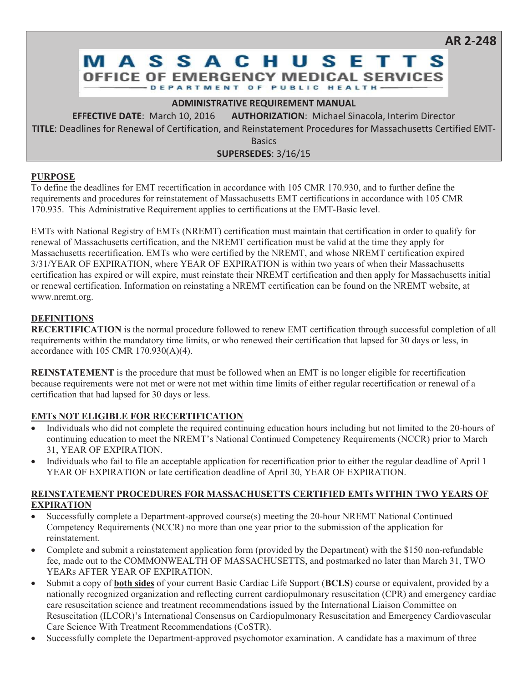# **MASSACHUSETT OFFICE OF EMERGENCY MEDICAL SERVICES** DEPARTMENT OF PUBLIC HEALTH.

### **ADMINISTRATIVE REQUIREMENT MANUAL**

**EFFECTIVE DATE:** March 10, 2016 **AUTHORIZATION:** Michael Sinacola, Interim Director **TITLE**: Deadlines for Renewal of Certification, and Reinstatement Procedures for Massachusetts Certified EMT-

**Basics** 

**SUPERSEDES**: 3/16/15

# **PURPOSE**

To define the deadlines for EMT recertification in accordance with 105 CMR 170.930, and to further define the requirements and procedures for reinstatement of Massachusetts EMT certifications in accordance with 105 CMR 170.935. This Administrative Requirement applies to certifications at the EMT-Basic level.

EMTs with National Registry of EMTs (NREMT) certification must maintain that certification in order to qualify for renewal of Massachusetts certification, and the NREMT certification must be valid at the time they apply for Massachusetts recertification. EMTs who were certified by the NREMT, and whose NREMT certification expired 3/31/YEAR OF EXPIRATION, where YEAR OF EXPIRATION is within two years of when their Massachusetts certification has expired or will expire, must reinstate their NREMT certification and then apply for Massachusetts initial or renewal certification. Information on reinstating a NREMT certification can be found on the NREMT website, at www.nremt.org.

# **DEFINITIONS**

**RECERTIFICATION** is the normal procedure followed to renew EMT certification through successful completion of all requirements within the mandatory time limits, or who renewed their certification that lapsed for 30 days or less, in accordance with 105 CMR 170.930(A)(4).

**REINSTATEMENT** is the procedure that must be followed when an EMT is no longer eligible for recertification because requirements were not met or were not met within time limits of either regular recertification or renewal of a certification that had lapsed for 30 days or less.

# **EMTs NOT ELIGIBLE FOR RECERTIFICATION**

- Individuals who did not complete the required continuing education hours including but not limited to the 20-hours of continuing education to meet the NREMT's National Continued Competency Requirements (NCCR) prior to March 31, YEAR OF EXPIRATION.
- Individuals who fail to file an acceptable application for recertification prior to either the regular deadline of April 1 YEAR OF EXPIRATION or late certification deadline of April 30, YEAR OF EXPIRATION.

#### **REINSTATEMENT PROCEDURES FOR MASSACHUSETTS CERTIFIED EMTs WITHIN TWO YEARS OF EXPIRATION**

- Successfully complete a Department-approved course(s) meeting the 20-hour NREMT National Continued Competency Requirements (NCCR) no more than one year prior to the submission of the application for reinstatement.
- Complete and submit a reinstatement application form (provided by the Department) with the \$150 non-refundable fee, made out to the COMMONWEALTH OF MASSACHUSETTS, and postmarked no later than March 31, TWO YEARs AFTER YEAR OF EXPIRATION.
- x Submit a copy of **both sides** of your current Basic Cardiac Life Support (**BCLS**) course or equivalent, provided by a nationally recognized organization and reflecting current cardiopulmonary resuscitation (CPR) and emergency cardiac care resuscitation science and treatment recommendations issued by the International Liaison Committee on Resuscitation (ILCOR)'s International Consensus on Cardiopulmonary Resuscitation and Emergency Cardiovascular Care Science With Treatment Recommendations (CoSTR).
- Successfully complete the Department-approved psychomotor examination. A candidate has a maximum of three